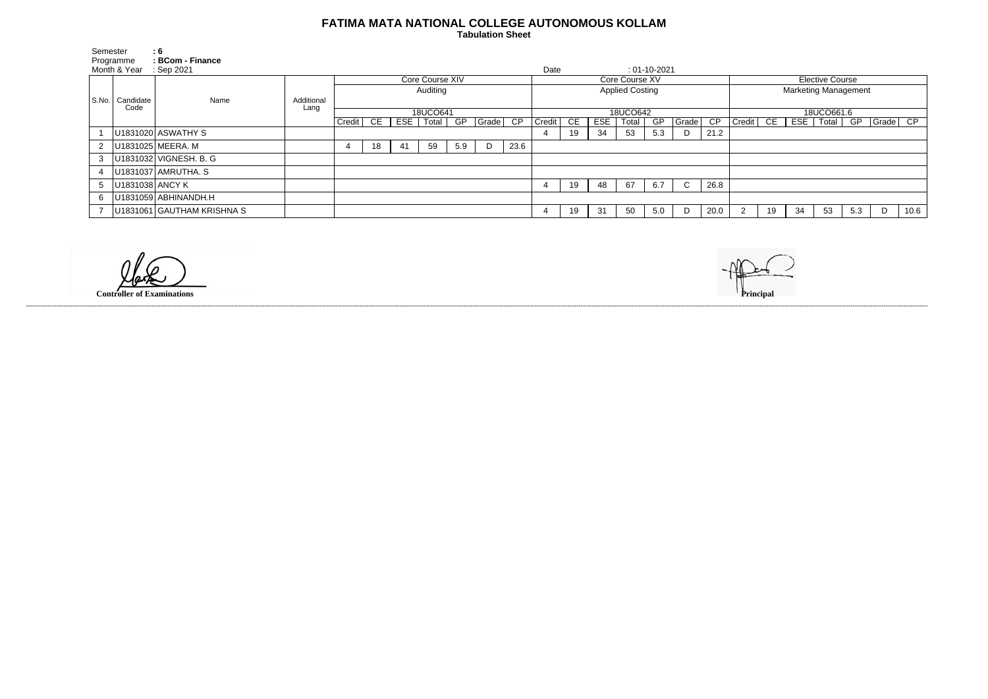## **FATIMA MATA NATIONAL COLLEGE AUTONOMOUS KOLLAM**

 **Tabulation Sheet** 

| Semester<br>Programme |                     | : 6<br>: BCom - Finance    |            |                 |    |    |             |     |       |                        |        |                                              |     |       |     |              |                             |        |    |                        |             |     |          |      |
|-----------------------|---------------------|----------------------------|------------|-----------------|----|----|-------------|-----|-------|------------------------|--------|----------------------------------------------|-----|-------|-----|--------------|-----------------------------|--------|----|------------------------|-------------|-----|----------|------|
| Month & Year          |                     | $\therefore$ Sep 2021      |            | Core Course XIV |    |    |             |     |       |                        |        | Date<br>$: 01 - 10 - 2021$<br>Core Course XV |     |       |     |              |                             |        |    | <b>Elective Course</b> |             |     |          |      |
| l S.No.               | Candidate<br>Code   | Name                       | Additional | Auditing        |    |    |             |     |       | <b>Applied Costing</b> |        |                                              |     |       |     |              | <b>Marketing Management</b> |        |    |                        |             |     |          |      |
|                       |                     |                            | Lang       | 18UCO641        |    |    |             |     |       | 18UCO642               |        |                                              |     |       |     |              | 18UCO661.6                  |        |    |                        |             |     |          |      |
|                       |                     |                            |            | Credit          | CE |    | ESE   Total | GP  | Grade | CP                     | Credit | CE                                           | ESE | Total | GP  | Grade        | CP                          | Credit | CE |                        | ESE   Total | GP  | Grade CP |      |
|                       |                     | U1831020 ASWATHY S         |            |                 |    |    |             |     |       |                        |        | 19                                           | 34  | 53    | 5.3 |              | 21.2                        |        |    |                        |             |     |          |      |
|                       |                     | U1831025 MEERA. M          |            |                 | 18 | 41 | 59          | 5.9 | D     | 23.6                   |        |                                              |     |       |     |              |                             |        |    |                        |             |     |          |      |
| 3                     |                     | U1831032 VIGNESH. B. G     |            |                 |    |    |             |     |       |                        |        |                                              |     |       |     |              |                             |        |    |                        |             |     |          |      |
|                       |                     | U1831037 AMRUTHA. S        |            |                 |    |    |             |     |       |                        |        |                                              |     |       |     |              |                             |        |    |                        |             |     |          |      |
| 5                     | $ U1831038 $ ANCY K |                            |            |                 |    |    |             |     |       |                        |        | 19                                           | 48  | 67    | 6.7 | $\mathsf{C}$ | 26.8                        |        |    |                        |             |     |          |      |
| 6.                    |                     | U1831059 ABHINANDH.H       |            |                 |    |    |             |     |       |                        |        |                                              |     |       |     |              |                             |        |    |                        |             |     |          |      |
|                       |                     | U1831061 GAUTHAM KRISHNA S |            |                 |    |    |             |     |       |                        |        | 19                                           | 31  | 50    | 5.0 |              | 20.0                        |        | 19 | 34                     | 53          | 5.3 | D        | 10.6 |

------------------------------------------------------------------------------------------------------------------------------------------------------------------------------------------------------------------------------------------------------------------------------------------------------------------------------------------------------------------------------------------------------------------------

**Controller of Examinations**